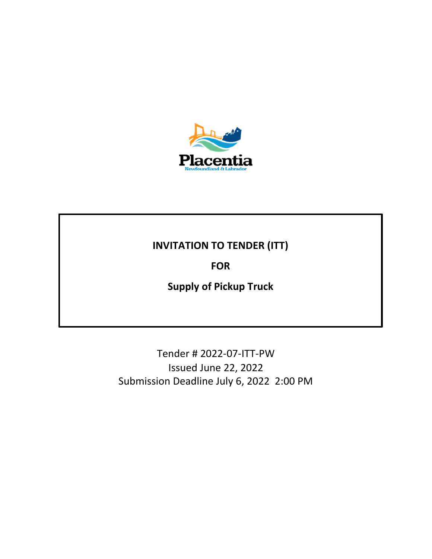

## **INVITATION TO TENDER (ITT)**

**FOR**

**Supply of Pickup Truck**

Tender # 2022-07-ITT-PW Issued June 22, 2022 Submission Deadline July 6, 2022 2:00 PM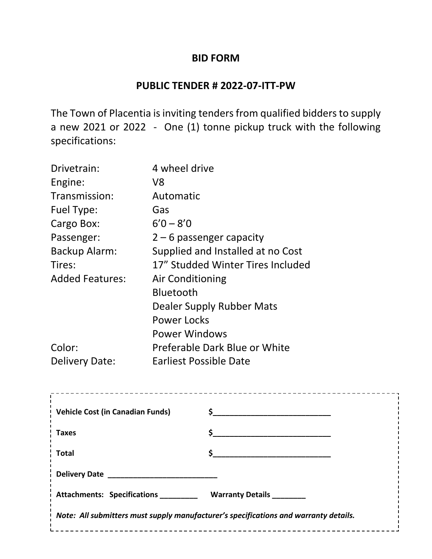## **BID FORM**

## **PUBLIC TENDER # 2022-07-ITT-PW**

The Town of Placentia is inviting tenders from qualified bidders to supply a new 2021 or 2022 - One (1) tonne pickup truck with the following specifications:

| Drivetrain:            | 4 wheel drive                     |
|------------------------|-----------------------------------|
| Engine:                | V8                                |
| Transmission:          | Automatic                         |
| Fuel Type:             | Gas                               |
| Cargo Box:             | $6'0 - 8'0$                       |
| Passenger:             | $2-6$ passenger capacity          |
| Backup Alarm:          | Supplied and Installed at no Cost |
| Tires:                 | 17" Studded Winter Tires Included |
| <b>Added Features:</b> | <b>Air Conditioning</b>           |
|                        | <b>Bluetooth</b>                  |
|                        | Dealer Supply Rubber Mats         |
|                        | Power Locks                       |
|                        | <b>Power Windows</b>              |
| Color:                 | Preferable Dark Blue or White     |
| <b>Delivery Date:</b>  | Earliest Possible Date            |

| <b>Vehicle Cost (in Canadian Funds)</b>                                              |              |  |
|--------------------------------------------------------------------------------------|--------------|--|
| Taxes                                                                                |              |  |
| <b>Total</b>                                                                         | $\mathsf{S}$ |  |
|                                                                                      |              |  |
| Attachments: Specifications ___________ Warranty Details ________                    |              |  |
| Note: All submitters must supply manufacturer's specifications and warranty details. |              |  |
|                                                                                      |              |  |